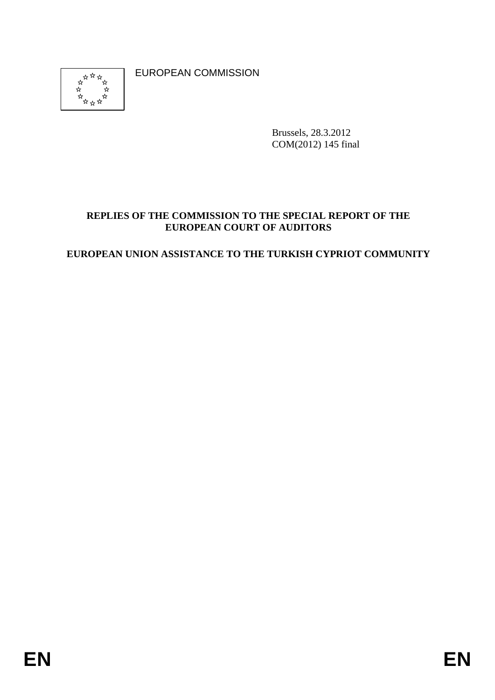\*\*\*\*\* ⊀≽

EUROPEAN COMMISSION

Brussels, 28.3.2012 COM(2012) 145 final

## **REPLIES OF THE COMMISSION TO THE SPECIAL REPORT OF THE EUROPEAN COURT OF AUDITORS**

## **EUROPEAN UNION ASSISTANCE TO THE TURKISH CYPRIOT COMMUNITY**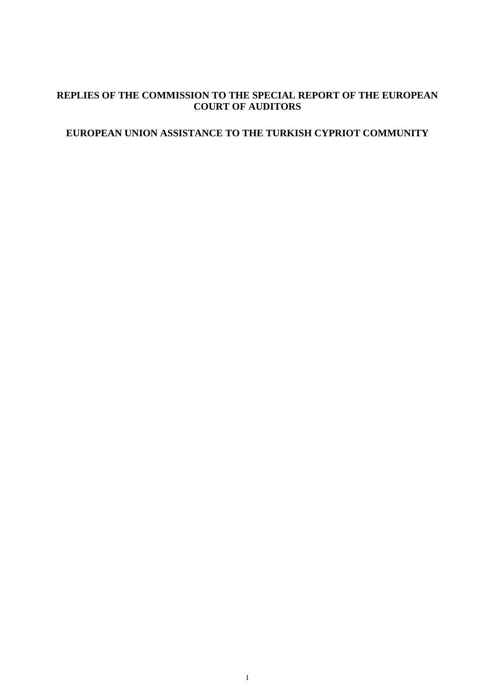## **REPLIES OF THE COMMISSION TO THE SPECIAL REPORT OF THE EUROPEAN COURT OF AUDITORS**

# **EUROPEAN UNION ASSISTANCE TO THE TURKISH CYPRIOT COMMUNITY**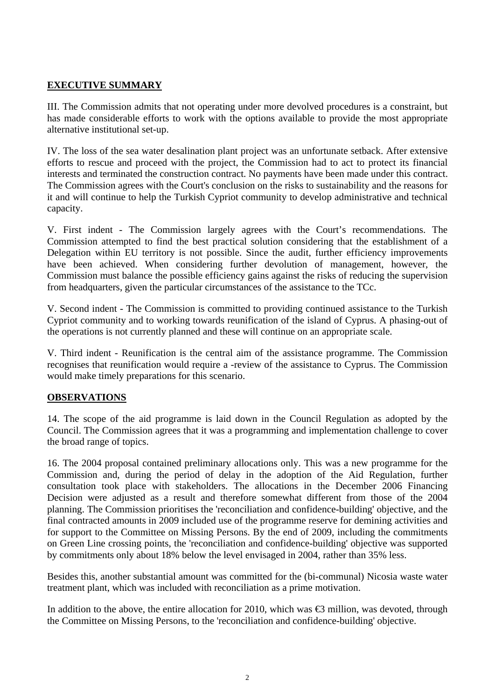#### **EXECUTIVE SUMMARY**

III. The Commission admits that not operating under more devolved procedures is a constraint, but has made considerable efforts to work with the options available to provide the most appropriate alternative institutional set-up.

IV. The loss of the sea water desalination plant project was an unfortunate setback. After extensive efforts to rescue and proceed with the project, the Commission had to act to protect its financial interests and terminated the construction contract. No payments have been made under this contract. The Commission agrees with the Court's conclusion on the risks to sustainability and the reasons for it and will continue to help the Turkish Cypriot community to develop administrative and technical capacity.

V. First indent - The Commission largely agrees with the Court's recommendations. The Commission attempted to find the best practical solution considering that the establishment of a Delegation within EU territory is not possible. Since the audit, further efficiency improvements have been achieved. When considering further devolution of management, however, the Commission must balance the possible efficiency gains against the risks of reducing the supervision from headquarters, given the particular circumstances of the assistance to the TCc.

V. Second indent - The Commission is committed to providing continued assistance to the Turkish Cypriot community and to working towards reunification of the island of Cyprus. A phasing-out of the operations is not currently planned and these will continue on an appropriate scale.

V. Third indent - Reunification is the central aim of the assistance programme. The Commission recognises that reunification would require a -review of the assistance to Cyprus. The Commission would make timely preparations for this scenario.

#### **OBSERVATIONS**

14. The scope of the aid programme is laid down in the Council Regulation as adopted by the Council. The Commission agrees that it was a programming and implementation challenge to cover the broad range of topics.

16. The 2004 proposal contained preliminary allocations only. This was a new programme for the Commission and, during the period of delay in the adoption of the Aid Regulation, further consultation took place with stakeholders. The allocations in the December 2006 Financing Decision were adjusted as a result and therefore somewhat different from those of the 2004 planning. The Commission prioritises the 'reconciliation and confidence-building' objective, and the final contracted amounts in 2009 included use of the programme reserve for demining activities and for support to the Committee on Missing Persons. By the end of 2009, including the commitments on Green Line crossing points, the 'reconciliation and confidence-building' objective was supported by commitments only about 18% below the level envisaged in 2004, rather than 35% less.

Besides this, another substantial amount was committed for the (bi-communal) Nicosia waste water treatment plant, which was included with reconciliation as a prime motivation.

In addition to the above, the entire allocation for 2010, which was  $\bigoplus$  million, was devoted, through the Committee on Missing Persons, to the 'reconciliation and confidence-building' objective.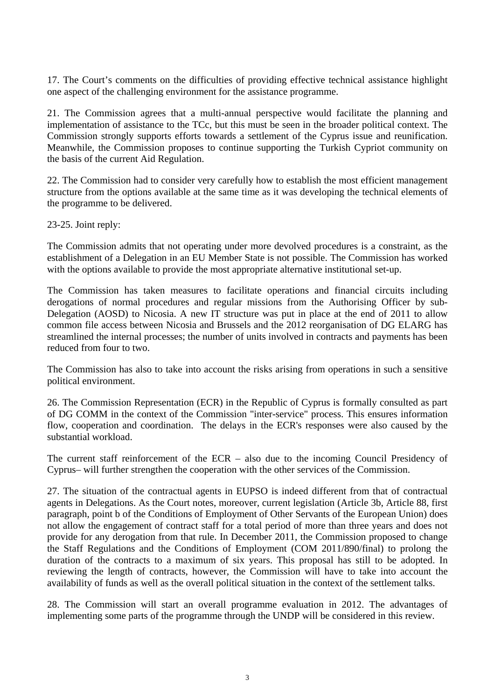17. The Court's comments on the difficulties of providing effective technical assistance highlight one aspect of the challenging environment for the assistance programme.

21. The Commission agrees that a multi-annual perspective would facilitate the planning and implementation of assistance to the TCc, but this must be seen in the broader political context. The Commission strongly supports efforts towards a settlement of the Cyprus issue and reunification. Meanwhile, the Commission proposes to continue supporting the Turkish Cypriot community on the basis of the current Aid Regulation.

22. The Commission had to consider very carefully how to establish the most efficient management structure from the options available at the same time as it was developing the technical elements of the programme to be delivered.

23-25. Joint reply:

The Commission admits that not operating under more devolved procedures is a constraint, as the establishment of a Delegation in an EU Member State is not possible. The Commission has worked with the options available to provide the most appropriate alternative institutional set-up.

The Commission has taken measures to facilitate operations and financial circuits including derogations of normal procedures and regular missions from the Authorising Officer by sub-Delegation (AOSD) to Nicosia. A new IT structure was put in place at the end of 2011 to allow common file access between Nicosia and Brussels and the 2012 reorganisation of DG ELARG has streamlined the internal processes; the number of units involved in contracts and payments has been reduced from four to two.

The Commission has also to take into account the risks arising from operations in such a sensitive political environment.

26. The Commission Representation (ECR) in the Republic of Cyprus is formally consulted as part of DG COMM in the context of the Commission "inter-service" process. This ensures information flow, cooperation and coordination. The delays in the ECR's responses were also caused by the substantial workload.

The current staff reinforcement of the ECR – also due to the incoming Council Presidency of Cyprus– will further strengthen the cooperation with the other services of the Commission.

27. The situation of the contractual agents in EUPSO is indeed different from that of contractual agents in Delegations. As the Court notes, moreover, current legislation (Article 3b, Article 88, first paragraph, point b of the Conditions of Employment of Other Servants of the European Union) does not allow the engagement of contract staff for a total period of more than three years and does not provide for any derogation from that rule. In December 2011, the Commission proposed to change the Staff Regulations and the Conditions of Employment (COM 2011/890/final) to prolong the duration of the contracts to a maximum of six years. This proposal has still to be adopted. In reviewing the length of contracts, however, the Commission will have to take into account the availability of funds as well as the overall political situation in the context of the settlement talks.

28. The Commission will start an overall programme evaluation in 2012. The advantages of implementing some parts of the programme through the UNDP will be considered in this review.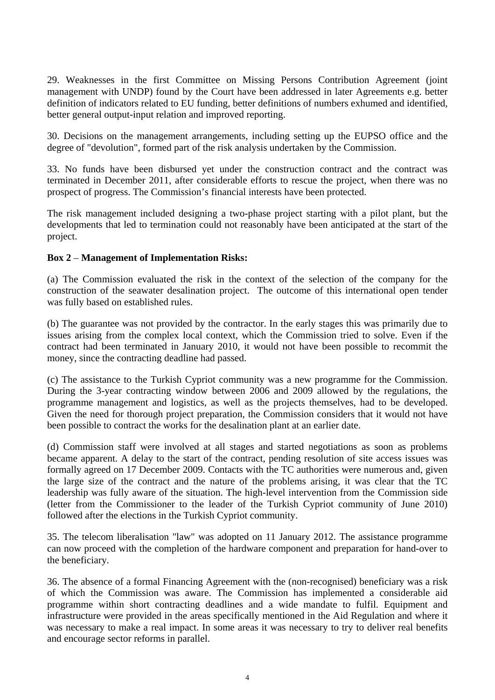29. Weaknesses in the first Committee on Missing Persons Contribution Agreement (joint management with UNDP) found by the Court have been addressed in later Agreements e.g. better definition of indicators related to EU funding, better definitions of numbers exhumed and identified, better general output-input relation and improved reporting.

30. Decisions on the management arrangements, including setting up the EUPSO office and the degree of "devolution", formed part of the risk analysis undertaken by the Commission.

33. No funds have been disbursed yet under the construction contract and the contract was terminated in December 2011, after considerable efforts to rescue the project, when there was no prospect of progress. The Commission's financial interests have been protected.

The risk management included designing a two-phase project starting with a pilot plant, but the developments that led to termination could not reasonably have been anticipated at the start of the project.

#### **Box 2** – **Management of Implementation Risks:**

(a) The Commission evaluated the risk in the context of the selection of the company for the construction of the seawater desalination project. The outcome of this international open tender was fully based on established rules.

(b) The guarantee was not provided by the contractor. In the early stages this was primarily due to issues arising from the complex local context, which the Commission tried to solve. Even if the contract had been terminated in January 2010, it would not have been possible to recommit the money, since the contracting deadline had passed.

(c) The assistance to the Turkish Cypriot community was a new programme for the Commission. During the 3-year contracting window between 2006 and 2009 allowed by the regulations, the programme management and logistics, as well as the projects themselves, had to be developed. Given the need for thorough project preparation, the Commission considers that it would not have been possible to contract the works for the desalination plant at an earlier date.

(d) Commission staff were involved at all stages and started negotiations as soon as problems became apparent. A delay to the start of the contract, pending resolution of site access issues was formally agreed on 17 December 2009. Contacts with the TC authorities were numerous and, given the large size of the contract and the nature of the problems arising, it was clear that the TC leadership was fully aware of the situation. The high-level intervention from the Commission side (letter from the Commissioner to the leader of the Turkish Cypriot community of June 2010) followed after the elections in the Turkish Cypriot community.

35. The telecom liberalisation "law" was adopted on 11 January 2012. The assistance programme can now proceed with the completion of the hardware component and preparation for hand-over to the beneficiary.

36. The absence of a formal Financing Agreement with the (non-recognised) beneficiary was a risk of which the Commission was aware. The Commission has implemented a considerable aid programme within short contracting deadlines and a wide mandate to fulfil. Equipment and infrastructure were provided in the areas specifically mentioned in the Aid Regulation and where it was necessary to make a real impact. In some areas it was necessary to try to deliver real benefits and encourage sector reforms in parallel.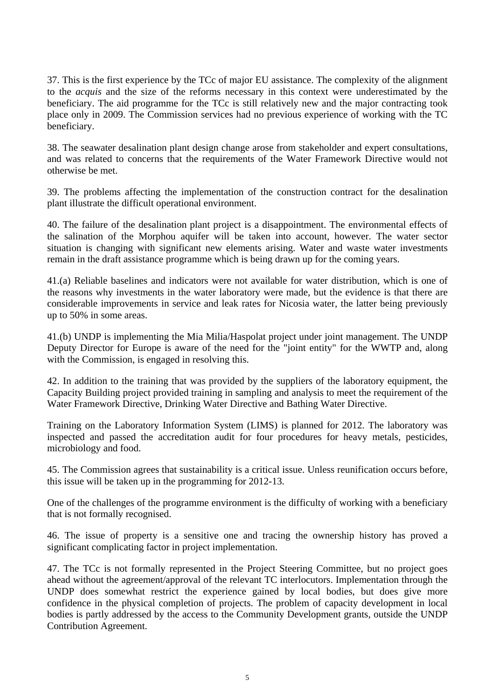37. This is the first experience by the TCc of major EU assistance. The complexity of the alignment to the *acquis* and the size of the reforms necessary in this context were underestimated by the beneficiary. The aid programme for the TCc is still relatively new and the major contracting took place only in 2009. The Commission services had no previous experience of working with the TC beneficiary.

38. The seawater desalination plant design change arose from stakeholder and expert consultations, and was related to concerns that the requirements of the Water Framework Directive would not otherwise be met.

39. The problems affecting the implementation of the construction contract for the desalination plant illustrate the difficult operational environment.

40. The failure of the desalination plant project is a disappointment. The environmental effects of the salination of the Morphou aquifer will be taken into account, however. The water sector situation is changing with significant new elements arising. Water and waste water investments remain in the draft assistance programme which is being drawn up for the coming years.

41.(a) Reliable baselines and indicators were not available for water distribution, which is one of the reasons why investments in the water laboratory were made, but the evidence is that there are considerable improvements in service and leak rates for Nicosia water, the latter being previously up to 50% in some areas.

41.(b) UNDP is implementing the Mia Milia/Haspolat project under joint management. The UNDP Deputy Director for Europe is aware of the need for the "joint entity" for the WWTP and, along with the Commission, is engaged in resolving this.

42. In addition to the training that was provided by the suppliers of the laboratory equipment, the Capacity Building project provided training in sampling and analysis to meet the requirement of the Water Framework Directive, Drinking Water Directive and Bathing Water Directive.

Training on the Laboratory Information System (LIMS) is planned for 2012. The laboratory was inspected and passed the accreditation audit for four procedures for heavy metals, pesticides, microbiology and food.

45. The Commission agrees that sustainability is a critical issue. Unless reunification occurs before, this issue will be taken up in the programming for 2012-13.

One of the challenges of the programme environment is the difficulty of working with a beneficiary that is not formally recognised.

46. The issue of property is a sensitive one and tracing the ownership history has proved a significant complicating factor in project implementation.

47. The TCc is not formally represented in the Project Steering Committee, but no project goes ahead without the agreement/approval of the relevant TC interlocutors. Implementation through the UNDP does somewhat restrict the experience gained by local bodies, but does give more confidence in the physical completion of projects. The problem of capacity development in local bodies is partly addressed by the access to the Community Development grants, outside the UNDP Contribution Agreement.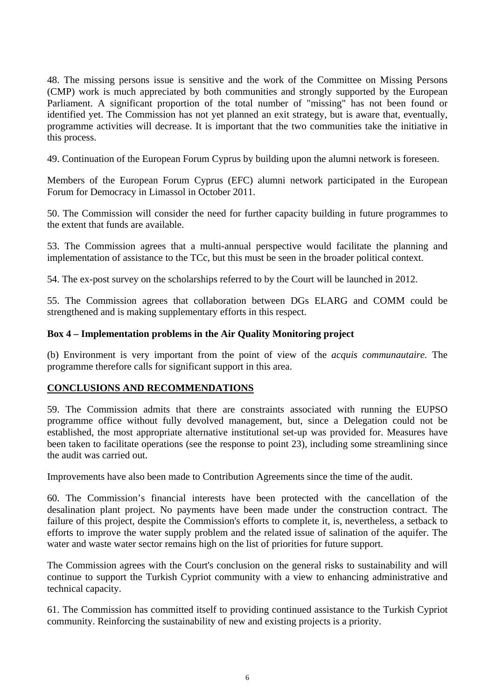48. The missing persons issue is sensitive and the work of the Committee on Missing Persons (CMP) work is much appreciated by both communities and strongly supported by the European Parliament. A significant proportion of the total number of "missing" has not been found or identified yet. The Commission has not yet planned an exit strategy, but is aware that, eventually, programme activities will decrease. It is important that the two communities take the initiative in this process.

49. Continuation of the European Forum Cyprus by building upon the alumni network is foreseen.

Members of the European Forum Cyprus (EFC) alumni network participated in the European Forum for Democracy in Limassol in October 2011.

50. The Commission will consider the need for further capacity building in future programmes to the extent that funds are available.

53. The Commission agrees that a multi-annual perspective would facilitate the planning and implementation of assistance to the TCc, but this must be seen in the broader political context.

54. The ex-post survey on the scholarships referred to by the Court will be launched in 2012.

55. The Commission agrees that collaboration between DGs ELARG and COMM could be strengthened and is making supplementary efforts in this respect.

#### **Box 4 – Implementation problems in the Air Quality Monitoring project**

(b) Environment is very important from the point of view of the *acquis communautaire.* The programme therefore calls for significant support in this area.

#### **CONCLUSIONS AND RECOMMENDATIONS**

59. The Commission admits that there are constraints associated with running the EUPSO programme office without fully devolved management, but, since a Delegation could not be established, the most appropriate alternative institutional set-up was provided for. Measures have been taken to facilitate operations (see the response to point 23), including some streamlining since the audit was carried out.

Improvements have also been made to Contribution Agreements since the time of the audit.

60. The Commission's financial interests have been protected with the cancellation of the desalination plant project. No payments have been made under the construction contract. The failure of this project, despite the Commission's efforts to complete it, is, nevertheless, a setback to efforts to improve the water supply problem and the related issue of salination of the aquifer. The water and waste water sector remains high on the list of priorities for future support.

The Commission agrees with the Court's conclusion on the general risks to sustainability and will continue to support the Turkish Cypriot community with a view to enhancing administrative and technical capacity.

61. The Commission has committed itself to providing continued assistance to the Turkish Cypriot community. Reinforcing the sustainability of new and existing projects is a priority.